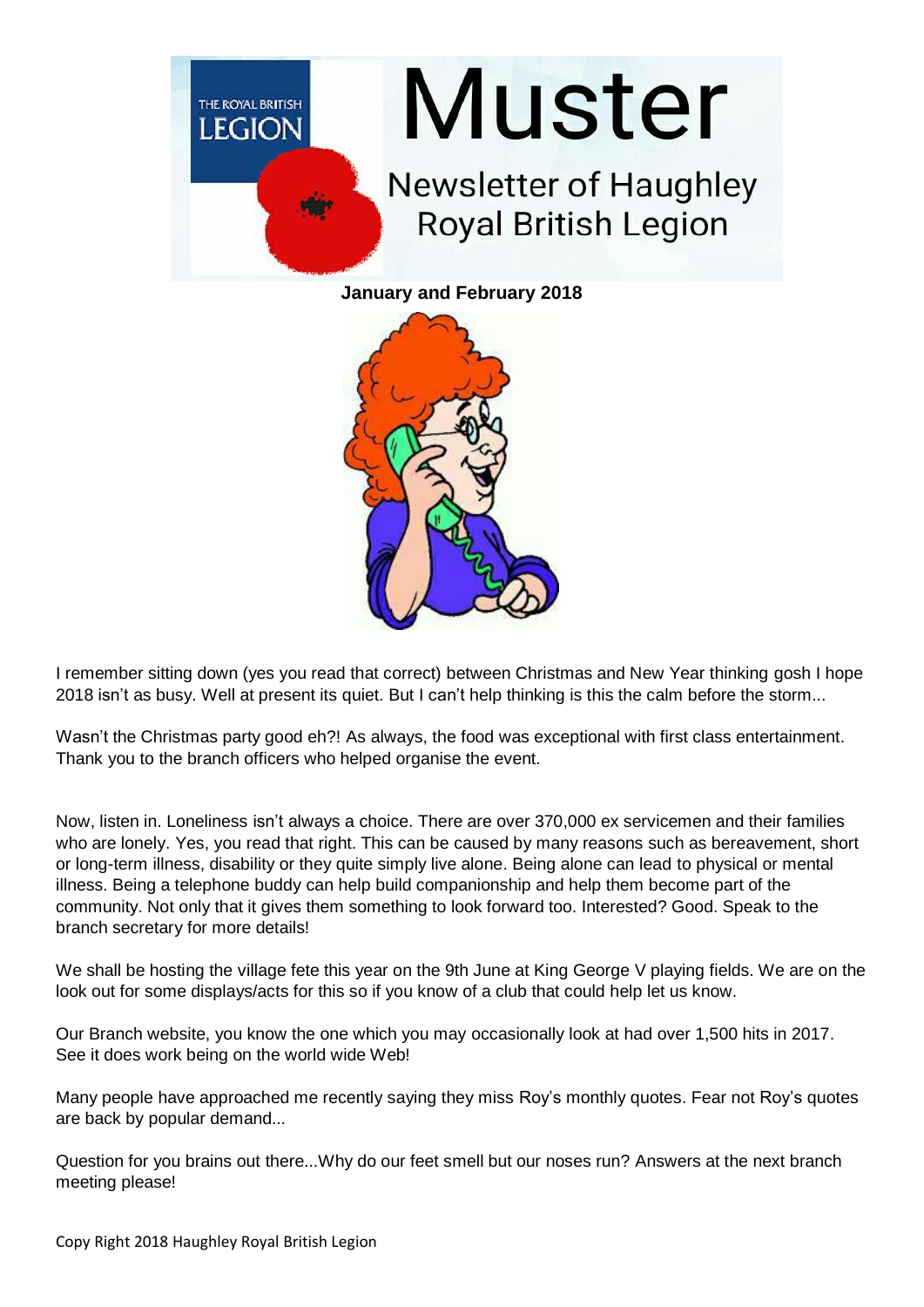

**January and February 2018**



I remember sitting down (yes you read that correct) between Christmas and New Year thinking gosh I hope 2018 isn't as busy. Well at present its quiet. But I can't help thinking is this the calm before the storm...

Wasn't the Christmas party good eh?! As always, the food was exceptional with first class entertainment. Thank you to the branch officers who helped organise the event.

Now, listen in. Loneliness isn't always a choice. There are over 370,000 ex servicemen and their families who are lonely. Yes, you read that right. This can be caused by many reasons such as bereavement, short or long-term illness, disability or they quite simply live alone. Being alone can lead to physical or mental illness. Being a telephone buddy can help build companionship and help them become part of the community. Not only that it gives them something to look forward too. Interested? Good. Speak to the branch secretary for more details!

We shall be hosting the village fete this year on the 9th June at King George V playing fields. We are on the look out for some displays/acts for this so if you know of a club that could help let us know.

Our Branch website, you know the one which you may occasionally look at had over 1,500 hits in 2017. See it does work being on the world wide Web!

Many people have approached me recently saying they miss Roy's monthly quotes. Fear not Roy's quotes are back by popular demand...

Question for you brains out there...Why do our feet smell but our noses run? Answers at the next branch meeting please!